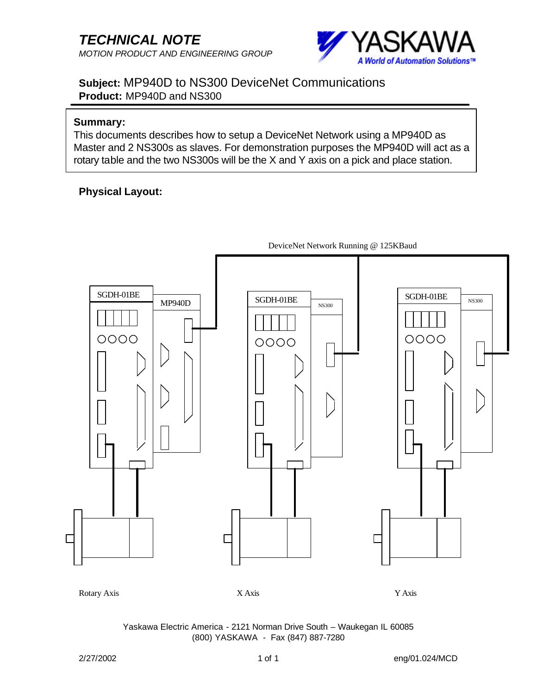

**Subject:** MP940D to NS300 DeviceNet Communications **Product:** MP940D and NS300

#### **Summary:**

This documents describes how to setup a DeviceNet Network using a MP940D as Master and 2 NS300s as slaves. For demonstration purposes the MP940D will act as a rotary table and the two NS300s will be the X and Y axis on a pick and place station.

## **Physical Layout:**

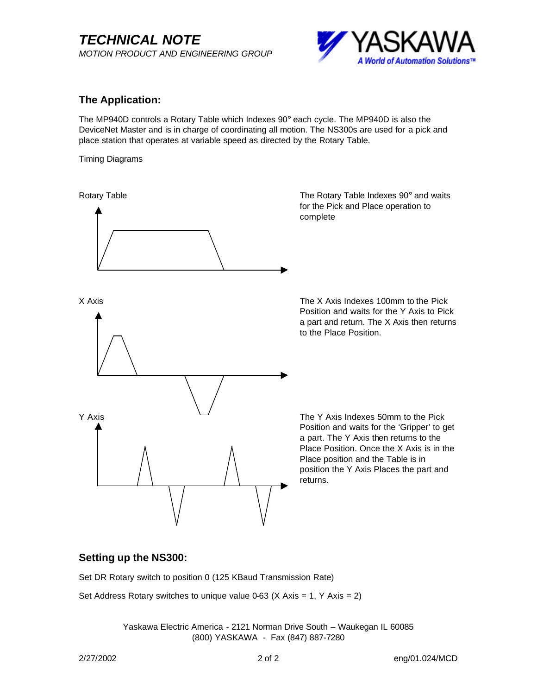

## **The Application:**

The MP940D controls a Rotary Table which Indexes 90° each cycle. The MP940D is also the DeviceNet Master and is in charge of coordinating all motion. The NS300s are used for a pick and place station that operates at variable speed as directed by the Rotary Table.

Timing Diagrams



### **Setting up the NS300:**

Set DR Rotary switch to position 0 (125 KBaud Transmission Rate)

Set Address Rotary switches to unique value 0-63 (X Axis = 1, Y Axis = 2)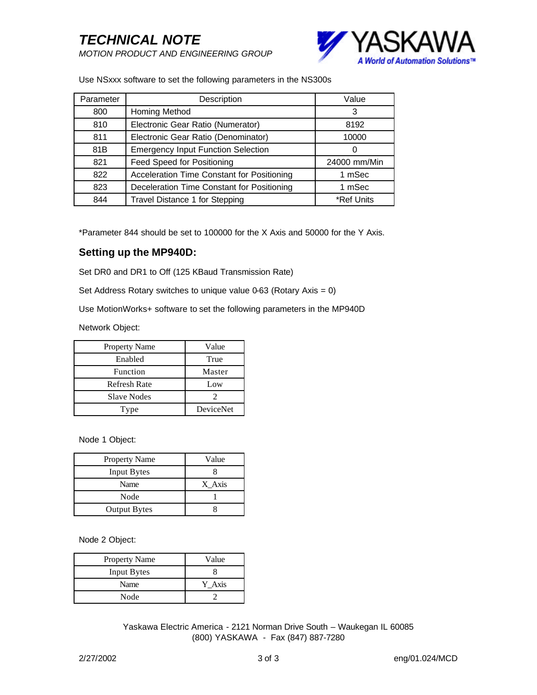

Use NSxxx software to set the following parameters in the NS300s

| Parameter | Description                                | Value        |
|-----------|--------------------------------------------|--------------|
| 800       | Homing Method                              | 3            |
| 810       | Electronic Gear Ratio (Numerator)          | 8192         |
| 811       | Electronic Gear Ratio (Denominator)        | 10000        |
| 81B       | <b>Emergency Input Function Selection</b>  | 0            |
| 821       | Feed Speed for Positioning                 | 24000 mm/Min |
| 822       | Acceleration Time Constant for Positioning | 1 mSec       |
| 823       | Deceleration Time Constant for Positioning | 1 mSec       |
| 844       | Travel Distance 1 for Stepping             | *Ref Units   |

\*Parameter 844 should be set to 100000 for the X Axis and 50000 for the Y Axis.

#### **Setting up the MP940D:**

Set DR0 and DR1 to Off (125 KBaud Transmission Rate)

Set Address Rotary switches to unique value 0-63 (Rotary Axis = 0)

Use MotionWorks+ software to set the following parameters in the MP940D

Network Object:

| Property Name       | Value     |
|---------------------|-----------|
| Enabled             | True      |
| Function            | Master    |
| <b>Refresh Rate</b> | Low       |
| <b>Slave Nodes</b>  |           |
| Type                | DeviceNet |

Node 1 Object:

| <b>Property Name</b> | Value  |
|----------------------|--------|
| <b>Input Bytes</b>   |        |
| Name                 | X Axis |
| Node                 |        |
| <b>Output Bytes</b>  |        |

Node 2 Object:

| Property Name      | Value  |
|--------------------|--------|
| <b>Input Bytes</b> |        |
| Name               | Y Axis |
| Node               |        |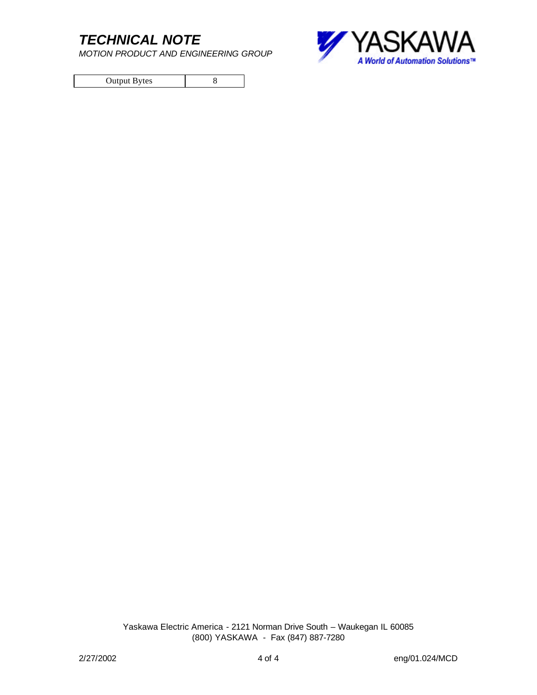*MOTION PRODUCT AND ENGINEERING GROUP*

Output Bytes 8

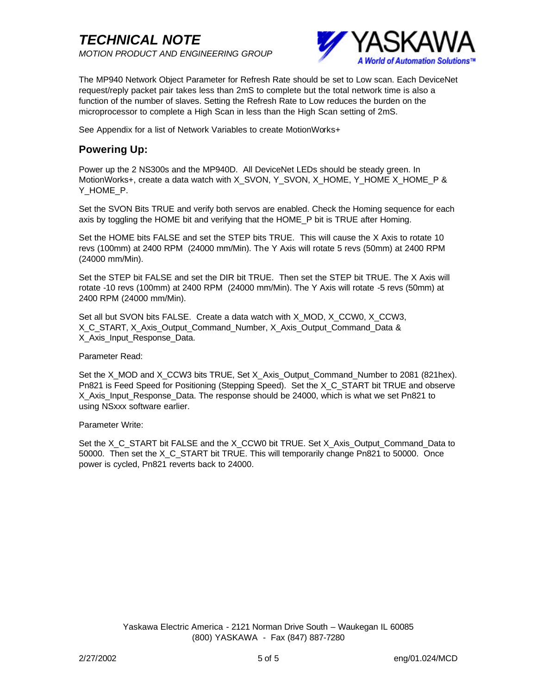

The MP940 Network Object Parameter for Refresh Rate should be set to Low scan. Each DeviceNet request/reply packet pair takes less than 2mS to complete but the total network time is also a function of the number of slaves. Setting the Refresh Rate to Low reduces the burden on the microprocessor to complete a High Scan in less than the High Scan setting of 2mS.

See Appendix for a list of Network Variables to create MotionWorks+

## **Powering Up:**

Power up the 2 NS300s and the MP940D. All DeviceNet LEDs should be steady green. In MotionWorks+, create a data watch with X\_SVON, Y\_SVON, X\_HOME, Y\_HOME X\_HOME\_P & Y HOME P.

Set the SVON Bits TRUE and verify both servos are enabled. Check the Homing sequence for each axis by toggling the HOME bit and verifying that the HOME\_P bit is TRUE after Homing.

Set the HOME bits FALSE and set the STEP bits TRUE. This will cause the X Axis to rotate 10 revs (100mm) at 2400 RPM (24000 mm/Min). The Y Axis will rotate 5 revs (50mm) at 2400 RPM (24000 mm/Min).

Set the STEP bit FALSE and set the DIR bit TRUE. Then set the STEP bit TRUE. The X Axis will rotate -10 revs (100mm) at 2400 RPM (24000 mm/Min). The Y Axis will rotate -5 revs (50mm) at 2400 RPM (24000 mm/Min).

Set all but SVON bits FALSE. Create a data watch with X\_MOD, X\_CCW0, X\_CCW3, X\_C\_START, X\_Axis\_Output\_Command\_Number, X\_Axis\_Output\_Command\_Data & X Axis\_Input\_Response\_Data.

#### Parameter Read:

Set the X\_MOD and X\_CCW3 bits TRUE, Set X\_Axis\_Output\_Command\_Number to 2081 (821hex). Pn821 is Feed Speed for Positioning (Stepping Speed). Set the X\_C\_START bit TRUE and observe X\_Axis\_Input\_Response\_Data. The response should be 24000, which is what we set Pn821 to using NSxxx software earlier.

#### Parameter Write:

Set the X\_C\_START bit FALSE and the X\_CCW0 bit TRUE. Set X\_Axis\_Output\_Command\_Data to 50000. Then set the X C START bit TRUE. This will temporarily change Pn821 to 50000. Once power is cycled, Pn821 reverts back to 24000.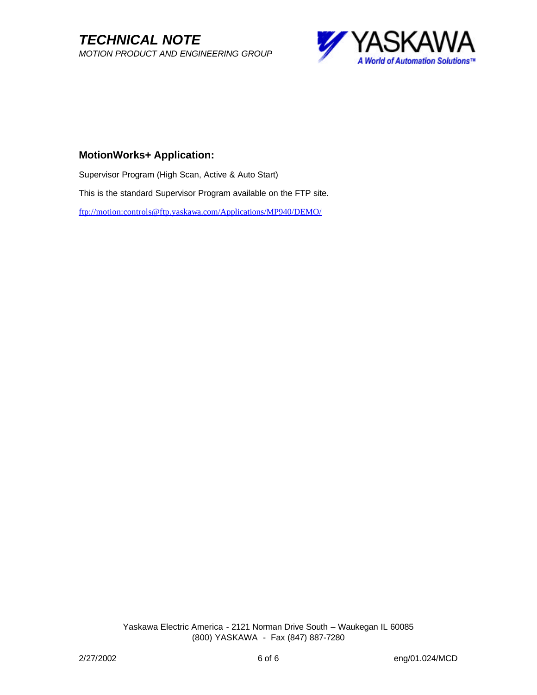*TECHNICAL NOTE MOTION PRODUCT AND ENGINEERING GROUP*



#### **MotionWorks+ Application:**

Supervisor Program (High Scan, Active & Auto Start) This is the standard Supervisor Program available on the FTP site. ftp://motion:controls@ftp.yaskawa.com/Applications/MP940/DEMO/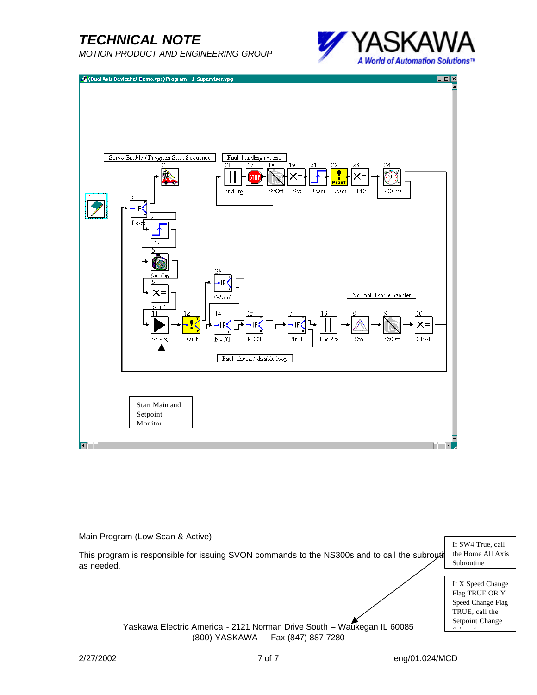*MOTION PRODUCT AND ENGINEERING GROUP*





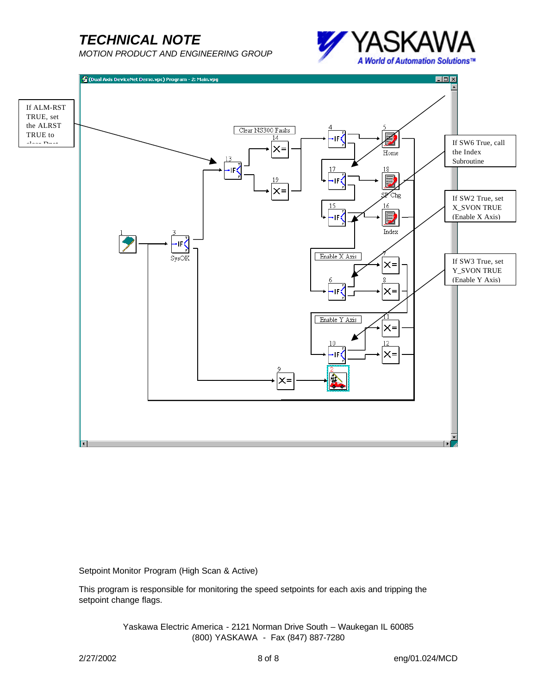*MOTION PRODUCT AND ENGINEERING GROUP*





Setpoint Monitor Program (High Scan & Active)

This program is responsible for monitoring the speed setpoints for each axis and tripping the setpoint change flags.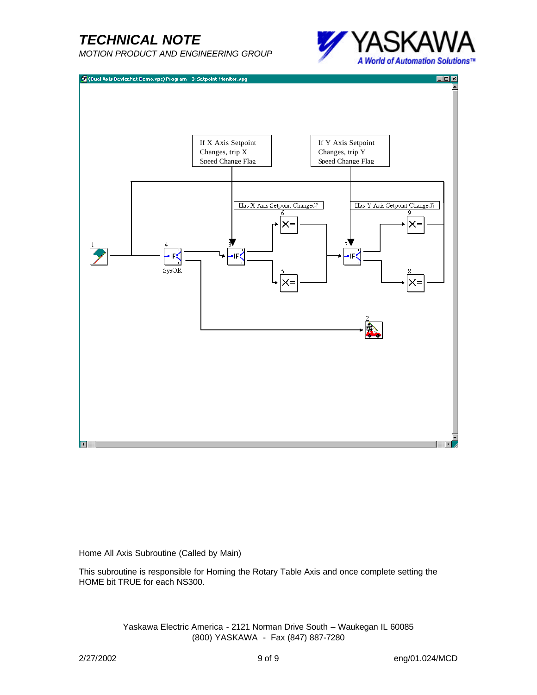*MOTION PRODUCT AND ENGINEERING GROUP*





Home All Axis Subroutine (Called by Main)

This subroutine is responsible for Homing the Rotary Table Axis and once complete setting the HOME bit TRUE for each NS300.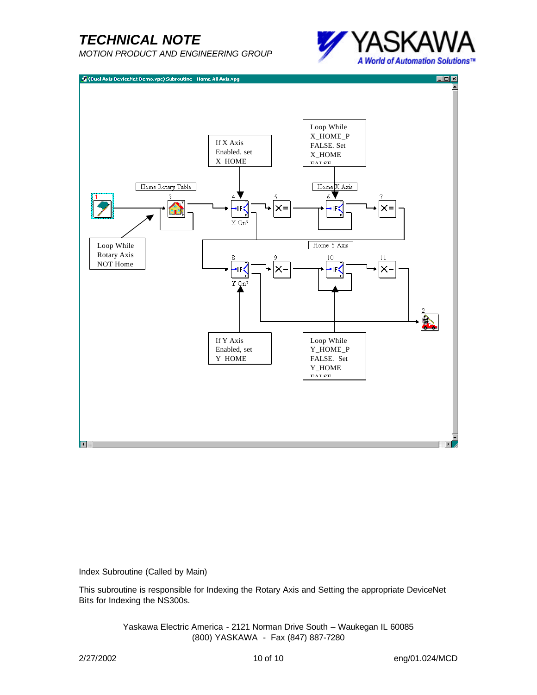*MOTION PRODUCT AND ENGINEERING GROUP*





Index Subroutine (Called by Main)

This subroutine is responsible for Indexing the Rotary Axis and Setting the appropriate DeviceNet Bits for Indexing the NS300s.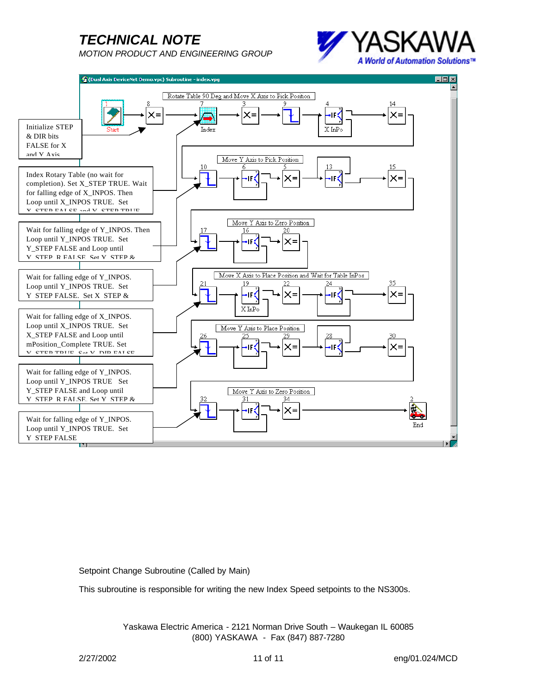*MOTION PRODUCT AND ENGINEERING GROUP*





Setpoint Change Subroutine (Called by Main)

This subroutine is responsible for writing the new Index Speed setpoints to the NS300s.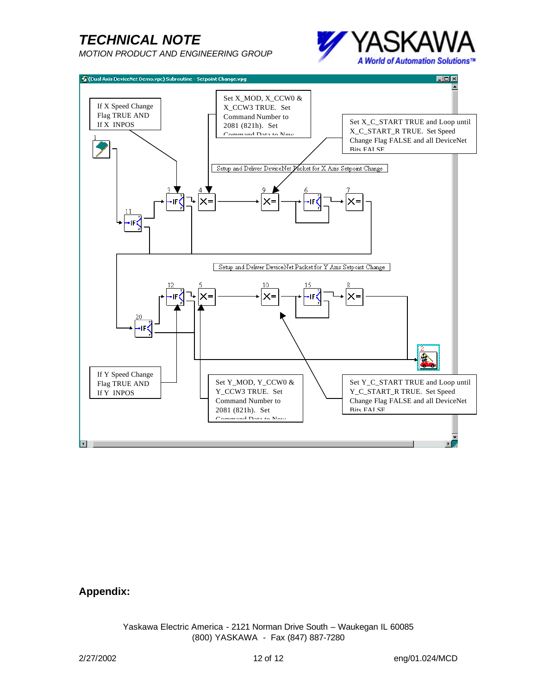*MOTION PRODUCT AND ENGINEERING GROUP*





### **Appendix:**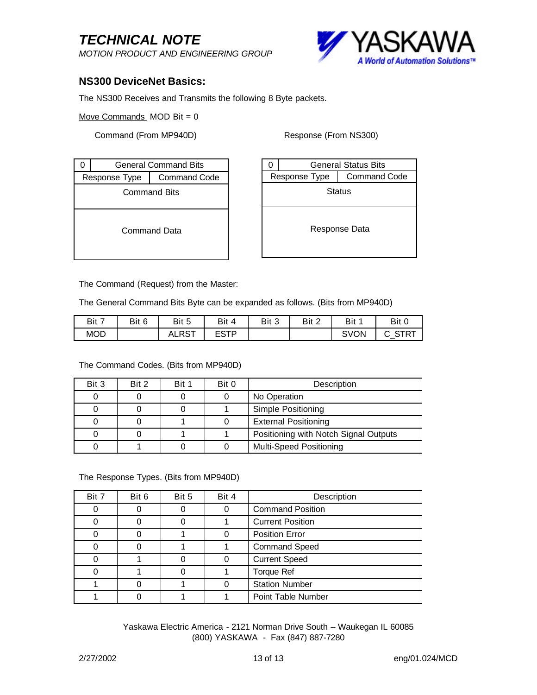*MOTION PRODUCT AND ENGINEERING GROUP*



### **NS300 DeviceNet Basics:**

The NS300 Receives and Transmits the following 8 Byte packets.

Move Commands  $MOD Bit = 0$ 

Command (From MP940D) Response (From NS300)

|                                      | <b>General Command Bits</b> |  |  |  |  |  |  |
|--------------------------------------|-----------------------------|--|--|--|--|--|--|
| <b>Command Code</b><br>Response Type |                             |  |  |  |  |  |  |
| <b>Command Bits</b>                  |                             |  |  |  |  |  |  |
| Command Data                         |                             |  |  |  |  |  |  |

|                                      | <b>General Status Bits</b> |  |  |  |  |  |  |
|--------------------------------------|----------------------------|--|--|--|--|--|--|
| <b>Command Code</b><br>Response Type |                            |  |  |  |  |  |  |
| Status                               |                            |  |  |  |  |  |  |
| Response Data                        |                            |  |  |  |  |  |  |

The Command (Request) from the Master:

The General Command Bits Byte can be expanded as follows. (Bits from MP940D)

| Bit 7      | Bit 6 | Bit 5            | Bit<br>4    | Bit 3 | Bit 2 | Bit  | Bit 0         |
|------------|-------|------------------|-------------|-------|-------|------|---------------|
| <b>MOD</b> |       | $.$ DCT<br>ALRS. | ceto<br>ᄓᇰᆘ |       |       | SVON | ື<br><u>л</u> |

The Command Codes. (Bits from MP940D)

| Bit 3 | Bit 2 | Bit 1 | Bit 0 | Description                           |  |  |
|-------|-------|-------|-------|---------------------------------------|--|--|
|       |       |       |       | No Operation                          |  |  |
|       |       |       |       | Simple Positioning                    |  |  |
|       |       |       |       | <b>External Positioning</b>           |  |  |
|       |       |       |       | Positioning with Notch Signal Outputs |  |  |
|       |       |       |       | <b>Multi-Speed Positioning</b>        |  |  |

The Response Types. (Bits from MP940D)

| Bit 7 | Bit 6 | Bit 5 | Bit 4 | Description             |  |  |
|-------|-------|-------|-------|-------------------------|--|--|
| 0     |       |       | 0     | <b>Command Position</b> |  |  |
|       |       |       |       | <b>Current Position</b> |  |  |
|       |       |       |       | <b>Position Error</b>   |  |  |
|       |       |       |       | <b>Command Speed</b>    |  |  |
|       |       |       |       | <b>Current Speed</b>    |  |  |
|       |       |       |       | <b>Torque Ref</b>       |  |  |
|       |       |       |       | <b>Station Number</b>   |  |  |
|       |       |       |       | Point Table Number      |  |  |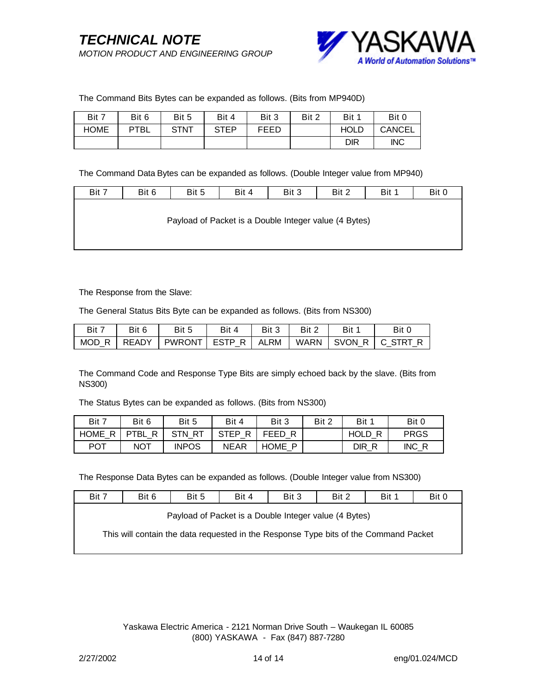

#### The Command Bits Bytes can be expanded as follows. (Bits from MP940D)

| Bit 7       | Bit 6       | Bit 5       | Bit 4 | Bit 3 | Bit 2 | Bit 1       | Bit 0         |
|-------------|-------------|-------------|-------|-------|-------|-------------|---------------|
| <b>HOME</b> | <b>PTBL</b> | <b>STNT</b> | STEP  | FEED  |       | <b>HOLD</b> | <b>CANCEL</b> |
|             |             |             |       |       |       | <b>DIR</b>  | <b>INC</b>    |

The Command Data Bytes can be expanded as follows. (Double Integer value from MP940)

| Bit 7                                                 | Bit 6 | Bit 5 | Bit 4 | Bit 3 | Bit 2 | Bit 1 | Bit 0 |  |
|-------------------------------------------------------|-------|-------|-------|-------|-------|-------|-------|--|
|                                                       |       |       |       |       |       |       |       |  |
| Payload of Packet is a Double Integer value (4 Bytes) |       |       |       |       |       |       |       |  |
|                                                       |       |       |       |       |       |       |       |  |
|                                                       |       |       |       |       |       |       |       |  |

The Response from the Slave:

The General Status Bits Byte can be expanded as follows. (Bits from NS300)

| Bit 7         | Bit 6 | Bit 5                  | Bit 4 | Bit 3 | Bit 2       | Bit | Bit C           |
|---------------|-------|------------------------|-------|-------|-------------|-----|-----------------|
| MOD R   READY |       | PWRONT   ESTP R   ALRM |       |       | <b>WARN</b> |     | SVON R C STRT R |

The Command Code and Response Type Bits are simply echoed back by the slave. (Bits from NS300)

The Status Bytes can be expanded as follows. (Bits from NS300)

| Bit 7            | Bit 6            | Bit 5            | Bit 4            | Bit 3            | Bit 2 | Bit 1            | Bit 0       |
|------------------|------------------|------------------|------------------|------------------|-------|------------------|-------------|
| <b>HOME</b><br>R | R<br><b>PTBL</b> | RT<br><b>STN</b> | <b>STEP</b><br>R | FEED             |       | <b>HOLD</b><br>R | <b>PRGS</b> |
| <b>POT</b>       | <b>NOT</b>       | <b>INPOS</b>     | <b>NEAR</b>      | <b>HOME</b><br>D |       | DIR              | INC R       |

The Response Data Bytes can be expanded as follows. (Double Integer value from NS300)

| Bit 7                                                                                | Bit 6 | Bit 5 | Bit 4 | Bit 3 | Bit 2 | Bit 1 | Bit 0 |
|--------------------------------------------------------------------------------------|-------|-------|-------|-------|-------|-------|-------|
| Payload of Packet is a Double Integer value (4 Bytes)                                |       |       |       |       |       |       |       |
| This will contain the data requested in the Response Type bits of the Command Packet |       |       |       |       |       |       |       |
|                                                                                      |       |       |       |       |       |       |       |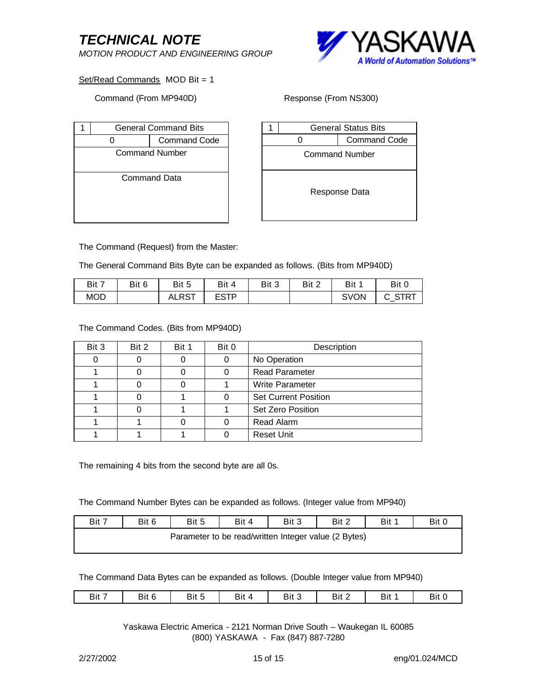*MOTION PRODUCT AND ENGINEERING GROUP*



Set/Read Commands MOD Bit = 1

#### Command (From MP940D) Response (From NS300)

|                       | <b>General Command Bits</b> |                     |  |  |  |  |
|-----------------------|-----------------------------|---------------------|--|--|--|--|
|                       |                             | <b>Command Code</b> |  |  |  |  |
| <b>Command Number</b> |                             |                     |  |  |  |  |
|                       |                             |                     |  |  |  |  |
|                       |                             | Command Data        |  |  |  |  |
|                       |                             |                     |  |  |  |  |
|                       |                             |                     |  |  |  |  |
|                       |                             |                     |  |  |  |  |

|                       | <b>General Status Bits</b> |                     |  |  |
|-----------------------|----------------------------|---------------------|--|--|
|                       |                            | <b>Command Code</b> |  |  |
| <b>Command Number</b> |                            |                     |  |  |
| Response Data         |                            |                     |  |  |

The Command (Request) from the Master:

The General Command Bits Byte can be expanded as follows. (Bits from MP940D)

| Bit 7      | Bit 6 | Bit 5        | Bit<br>$\Delta$     | Bit 3 | Bit 2 | Bit         | Bit C            |
|------------|-------|--------------|---------------------|-------|-------|-------------|------------------|
| <b>MOD</b> |       | <b>ALRST</b> | <b>COTD</b><br>ESII |       |       | <b>SVON</b> | <b>STRT</b><br>້ |

The Command Codes. (Bits from MP940D)

| Bit 3 | Bit 2 | Bit 1 | Bit 0 | Description                 |
|-------|-------|-------|-------|-----------------------------|
|       |       |       |       | No Operation                |
|       |       |       |       | <b>Read Parameter</b>       |
|       |       |       |       | <b>Write Parameter</b>      |
|       |       |       |       | <b>Set Current Position</b> |
|       |       |       |       | Set Zero Position           |
|       |       |       |       | Read Alarm                  |
|       |       |       |       | <b>Reset Unit</b>           |

The remaining 4 bits from the second byte are all 0s.

The Command Number Bytes can be expanded as follows. (Integer value from MP940)

| Bit 7                                                | Bit 6 | Bit 5 | Bit 4 | Bit 3 | Bit 2 | Bit 1 | Bit 0 |
|------------------------------------------------------|-------|-------|-------|-------|-------|-------|-------|
| Parameter to be read/written Integer value (2 Bytes) |       |       |       |       |       |       |       |

The Command Data Bytes can be expanded as follows. (Double Integer value from MP940)

| Bit 6<br>Bit 3<br>Bit 7<br><b></b><br>.<br>Bit<br>$- \cdot$<br>Bit<br>Bit<br>Bit 2<br>Bit 5<br><u>-</u> |  |
|---------------------------------------------------------------------------------------------------------|--|
|---------------------------------------------------------------------------------------------------------|--|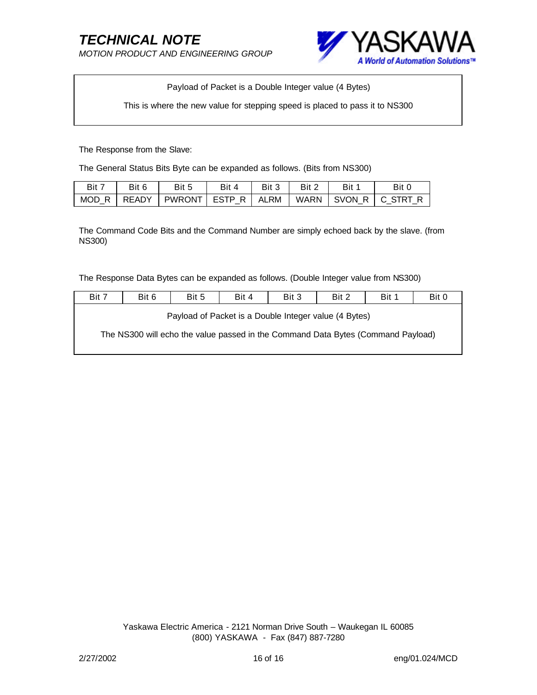*MOTION PRODUCT AND ENGINEERING GROUP*



Payload of Packet is a Double Integer value (4 Bytes)

This is where the new value for stepping speed is placed to pass it to NS300

The Response from the Slave:

The General Status Bits Byte can be expanded as follows. (Bits from NS300)

| − Bit ™ | Bit 6 | Bit 5                  | Bit 4 | Bit 3 | Bit 2 | Bit | Bit 0           |
|---------|-------|------------------------|-------|-------|-------|-----|-----------------|
| MOD R   | READY | PWRONT   ESTP R   ALRM |       |       | WARN  |     | SVON R C STRT R |

The Command Code Bits and the Command Number are simply echoed back by the slave. (from NS300)

The Response Data Bytes can be expanded as follows. (Double Integer value from NS300)

| Bit 7                                                                            | Bit 6 | Bit 5 | Bit 4 | Bit 3 | Bit 2 | Bit 1 | Bit 0 |
|----------------------------------------------------------------------------------|-------|-------|-------|-------|-------|-------|-------|
| Payload of Packet is a Double Integer value (4 Bytes)                            |       |       |       |       |       |       |       |
| The NS300 will echo the value passed in the Command Data Bytes (Command Payload) |       |       |       |       |       |       |       |
|                                                                                  |       |       |       |       |       |       |       |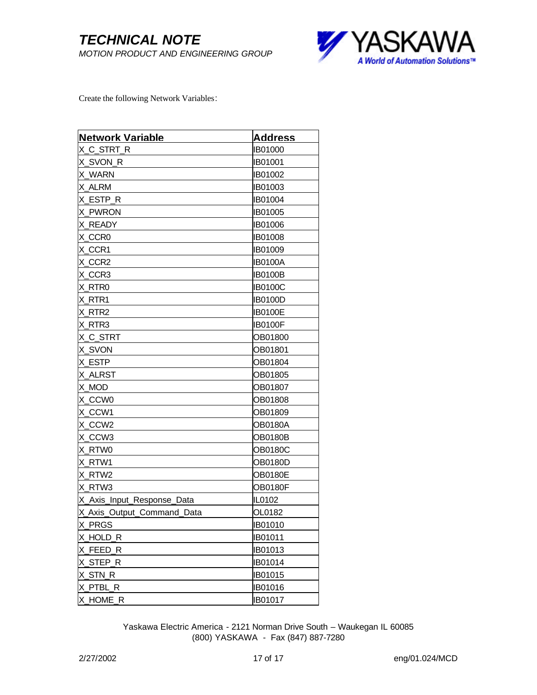

Create the following Network Variables:

| <b>Network Variable</b>    | <b>Address</b> |
|----------------------------|----------------|
| X_C_STRT_R                 | <b>IB01000</b> |
| X_SVON_R                   | IB01001        |
| X WARN                     | <b>IB01002</b> |
| X ALRM                     | <b>IB01003</b> |
| X ESTP_R                   | <b>IB01004</b> |
| X PWRON                    | <b>IB01005</b> |
| X READY                    | IB01006        |
| X_CCR0                     | IB01008        |
| X_CCR1                     | <b>IB01009</b> |
| X_CCR2                     | <b>IB0100A</b> |
| X_CCR3                     | IB0100B        |
| X_RTR0                     | <b>IB0100C</b> |
| X_RTR1                     | <b>IB0100D</b> |
| X_RTR2                     | <b>IB0100E</b> |
| X_RTR3                     | <b>IB0100F</b> |
| X_C_STRT                   | OB01800        |
| <b>X_SVON</b>              | OB01801        |
| X ESTP                     | OB01804        |
| X ALRST                    | OB01805        |
| X_MOD                      | OB01807        |
| X_CCW0                     | OB01808        |
| X_CCW1                     | OB01809        |
| X_CCW2                     | <b>OB0180A</b> |
| X_CCW3                     | OB0180B        |
| X RTW0                     | <b>OB0180C</b> |
| X_RTW1                     | OB0180D        |
| X RTW2                     | <b>OB0180E</b> |
| X RTW3                     | <b>OB0180F</b> |
| X_Axis_Input_Response_Data | IL0102         |
| X_Axis_Output_Command_Data | OL0182         |
| X_PRGS                     | <b>IB01010</b> |
| X HOLD R                   | IB01011        |
| X_FEED_R                   | <b>IB01013</b> |
| X_STEP_R                   | <b>IB01014</b> |
| X_STN_R                    | <b>IB01015</b> |
| X_PTBL_R                   | <b>IB01016</b> |
| X_HOME_R                   | <b>IB01017</b> |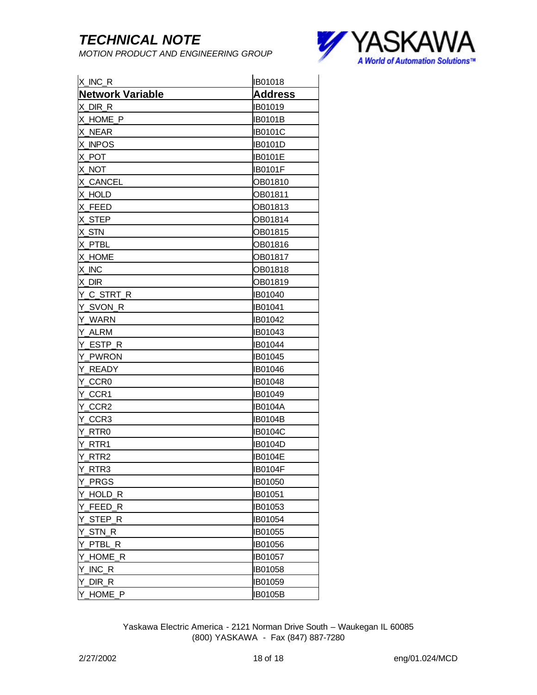*MOTION PRODUCT AND ENGINEERING GROUP*



| X_INC_R                 | <b>IB01018</b> |
|-------------------------|----------------|
| <b>Network Variable</b> | <b>Address</b> |
| X_DIR_R                 | <b>IB01019</b> |
| X_HOME_P                | <b>IB0101B</b> |
| X_NEAR                  | <b>IB0101C</b> |
| X_INPOS                 | IB0101D        |
| X_POT                   | IB0101E        |
| X NOT                   | <b>IB0101F</b> |
| X_CANCEL                | OB01810        |
| X HOLD                  | OB01811        |
| X_FEED                  | OB01813        |
| X_STEP                  | OB01814        |
| X_STN                   | OB01815        |
| X_PTBL                  | OB01816        |
| X_HOME                  | OB01817        |
| X_INC                   | OB01818        |
| X_DIR                   | OB01819        |
| Y_C_STRT_R              | <b>IB01040</b> |
| Y_SVON_R                | <b>IB01041</b> |
| Y_WARN                  | IB01042        |
| Y_ALRM                  | IB01043        |
| Y_ESTP_R                | <b>IB01044</b> |
| Y PWRON                 | IB01045        |
| Y READY                 | <b>IB01046</b> |
| Y_CCR0                  | IB01048        |
| Y_CCR1                  | IB01049        |
| Y_CCR2                  | <b>IB0104A</b> |
| Y_CCR3                  | <b>IB0104B</b> |
| Y RTR0                  | <b>IB0104C</b> |
| Y_RTR1                  | IB0104D        |
| Y RTR2                  | <b>IB0104E</b> |
| Y_RTR3                  | <b>IB0104F</b> |
| Y_PRGS                  | <b>IB01050</b> |
| Y_HOLD_R                | <b>IB01051</b> |
| Y_FEED_R                | <b>IB01053</b> |
| Y_STEP_R                | <b>IB01054</b> |
| Y_STN_R                 | <b>IB01055</b> |
| Y_PTBL_R                | IB01056        |
| Y_HOME_R                | <b>IB01057</b> |
| Y_INC_R                 | <b>IB01058</b> |
| Y_DIR_R                 | <b>IB01059</b> |
| Y_HOME_P                | <b>IB0105B</b> |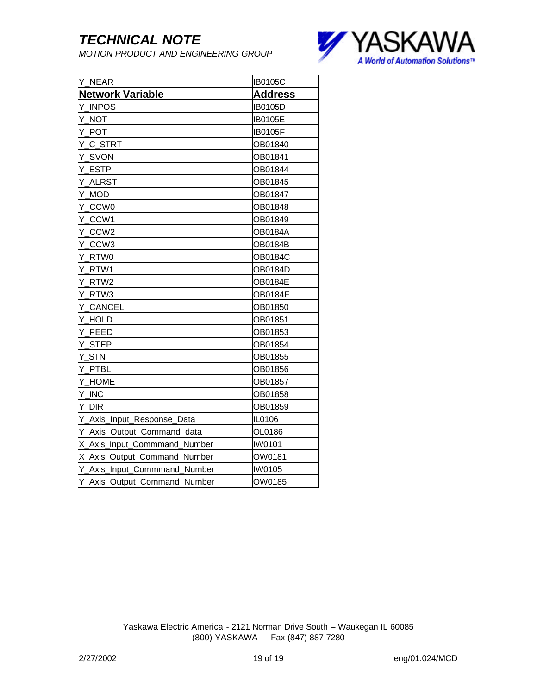*MOTION PRODUCT AND ENGINEERING GROUP*



| Y_NEAR                       | <b>IB0105C</b> |
|------------------------------|----------------|
| <b>Network Variable</b>      | <b>Address</b> |
| Y INPOS                      | <b>IB0105D</b> |
| Y_NOT                        | <b>IB0105E</b> |
| Y_POT                        | <b>IB0105F</b> |
| Y_C_STRT                     | OB01840        |
| Y_SVON                       | OB01841        |
| Y ESTP                       | OB01844        |
| Y_ALRST                      | OB01845        |
| Y_MOD                        | OB01847        |
| Y CCW0                       | OB01848        |
| Y_CCW1                       | OB01849        |
| Y_CCW2                       | <b>OB0184A</b> |
| Y_CCW3                       | <b>OB0184B</b> |
| Y RTW0                       | <b>OB0184C</b> |
| Y_RTW1                       | <b>OB0184D</b> |
| Y_RTW2                       | <b>OB0184E</b> |
| Y_RTW3                       | <b>OB0184F</b> |
| Y_CANCEL                     | OB01850        |
| Y HOLD                       | OB01851        |
| Y_FEED                       | OB01853        |
| Y_STEP                       | OB01854        |
| Y_STN                        | OB01855        |
| Y PTBL                       | OB01856        |
| Y_HOME                       | OB01857        |
| Y_INC                        | OB01858        |
| Y_DIR                        | OB01859        |
| Y_Axis_Input_Response_Data   | IL0106         |
| Y_Axis_Output_Command_data   | OL0186         |
| X_Axis_Input_Commmand_Number | <b>IW0101</b>  |
| X_Axis_Output_Command_Number | OW0181         |
| Y_Axis_Input_Commmand_Number | <b>IW0105</b>  |
| Y_Axis_Output_Command_Number | OW0185         |